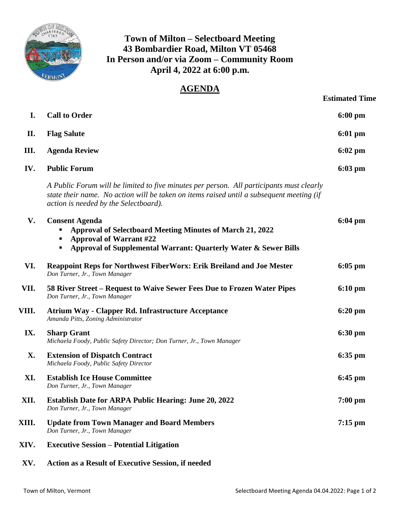

## **Town of Milton – Selectboard Meeting 43 Bombardier Road, Milton VT 05468 In Person and/or via Zoom – Community Room April 4, 2022 at 6:00 p.m.**

## **AGENDA**

| I.        | <b>Call to Order</b>                                                                                                                                                                                                          | $6:00 \text{ pm}$ |
|-----------|-------------------------------------------------------------------------------------------------------------------------------------------------------------------------------------------------------------------------------|-------------------|
| П.        | <b>Flag Salute</b>                                                                                                                                                                                                            | $6:01 \text{ pm}$ |
| Ш.        | <b>Agenda Review</b>                                                                                                                                                                                                          | $6:02$ pm         |
| IV.       | <b>Public Forum</b>                                                                                                                                                                                                           | $6:03$ pm         |
|           | A Public Forum will be limited to five minutes per person. All participants must clearly<br>state their name. No action will be taken on items raised until a subsequent meeting (if<br>action is needed by the Selectboard). |                   |
| V.        | <b>Consent Agenda</b><br>Approval of Selectboard Meeting Minutes of March 21, 2022<br><b>Approval of Warrant #22</b><br>Approval of Supplemental Warrant: Quarterly Water & Sewer Bills                                       | $6:04 \text{ pm}$ |
| VI.       | Reappoint Reps for Northwest FiberWorx: Erik Breiland and Joe Mester<br>Don Turner, Jr., Town Manager                                                                                                                         | $6:05$ pm         |
| VII.      | 58 River Street – Request to Waive Sewer Fees Due to Frozen Water Pipes<br>Don Turner, Jr., Town Manager                                                                                                                      | $6:10 \text{ pm}$ |
| VIII.     | <b>Atrium Way - Clapper Rd. Infrastructure Acceptance</b><br>Amanda Pitts, Zoning Administrator                                                                                                                               | $6:20 \text{ pm}$ |
| IX.       | <b>Sharp Grant</b><br>Michaela Foody, Public Safety Director; Don Turner, Jr., Town Manager                                                                                                                                   | $6:30 \text{ pm}$ |
| <b>X.</b> | <b>Extension of Dispatch Contract</b><br>Michaela Foody, Public Safety Director                                                                                                                                               | $6:35$ pm         |
| XI.       | <b>Establish Ice House Committee</b><br>Don Turner, Jr., Town Manager                                                                                                                                                         | $6:45$ pm         |
| XII.      | <b>Establish Date for ARPA Public Hearing: June 20, 2022</b><br>Don Turner, Jr., Town Manager                                                                                                                                 | $7:00$ pm         |
| XIII.     | <b>Update from Town Manager and Board Members</b><br>Don Turner, Jr., Town Manager                                                                                                                                            | $7:15$ pm         |
| XIV.      | <b>Executive Session – Potential Litigation</b>                                                                                                                                                                               |                   |
| XV.       | <b>Action as a Result of Executive Session, if needed</b>                                                                                                                                                                     |                   |